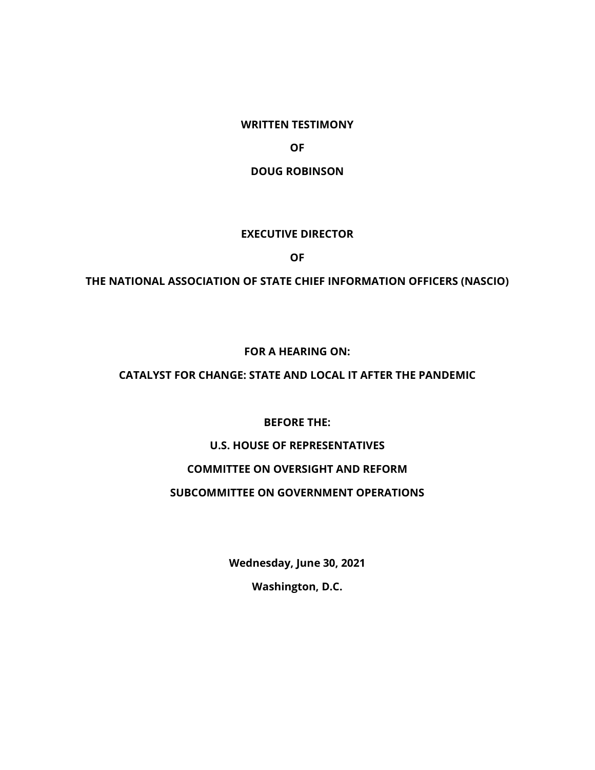**WRITTEN TESTIMONY**

**OF**

**DOUG ROBINSON**

#### **EXECUTIVE DIRECTOR**

**OF**

**THE NATIONAL ASSOCIATION OF STATE CHIEF INFORMATION OFFICERS (NASCIO)**

#### **FOR A HEARING ON:**

### **CATALYST FOR CHANGE: STATE AND LOCAL IT AFTER THE PANDEMIC**

**BEFORE THE:**

# **U.S. HOUSE OF REPRESENTATIVES**

### **COMMITTEE ON OVERSIGHT AND REFORM**

#### **SUBCOMMITTEE ON GOVERNMENT OPERATIONS**

**Wednesday, June 30, 2021 Washington, D.C.**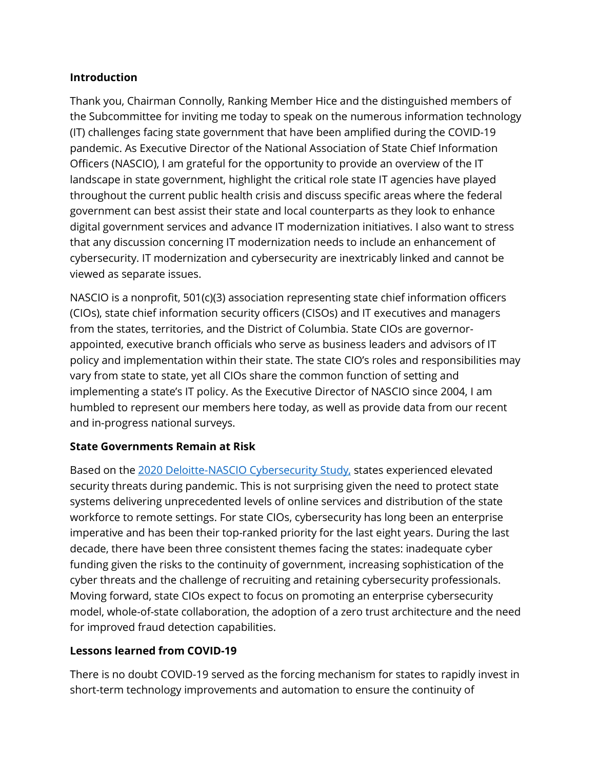## **Introduction**

Thank you, Chairman Connolly, Ranking Member Hice and the distinguished members of the Subcommittee for inviting me today to speak on the numerous information technology (IT) challenges facing state government that have been amplified during the COVID-19 pandemic. As Executive Director of the National Association of State Chief Information Officers (NASCIO), I am grateful for the opportunity to provide an overview of the IT landscape in state government, highlight the critical role state IT agencies have played throughout the current public health crisis and discuss specific areas where the federal government can best assist their state and local counterparts as they look to enhance digital government services and advance IT modernization initiatives. I also want to stress that any discussion concerning IT modernization needs to include an enhancement of cybersecurity. IT modernization and cybersecurity are inextricably linked and cannot be viewed as separate issues.

NASCIO is a nonprofit, 501(c)(3) association representing state chief information officers (CIOs), state chief information security officers (CISOs) and IT executives and managers from the states, territories, and the District of Columbia. State CIOs are governorappointed, executive branch officials who serve as business leaders and advisors of IT policy and implementation within their state. The state CIO's roles and responsibilities may vary from state to state, yet all CIOs share the common function of setting and implementing a state's IT policy. As the Executive Director of NASCIO since 2004, I am humbled to represent our members here today, as well as provide data from our recent and in-progress national surveys.

## **State Governments Remain at Risk**

Based on the [2020 Deloitte-NASCIO Cybersecurity Study,](https://www.nascio.org/wp-content/uploads/2020/10/2020-Deloitte-NASCIO-Cybersecurity-Study-1.pdf) states experienced elevated security threats during pandemic. This is not surprising given the need to protect state systems delivering unprecedented levels of online services and distribution of the state workforce to remote settings. For state CIOs, cybersecurity has long been an enterprise imperative and has been their top-ranked priority for the last eight years. During the last decade, there have been three consistent themes facing the states: inadequate cyber funding given the risks to the continuity of government, increasing sophistication of the cyber threats and the challenge of recruiting and retaining cybersecurity professionals. Moving forward, state CIOs expect to focus on promoting an enterprise cybersecurity model, whole-of-state collaboration, the adoption of a zero trust architecture and the need for improved fraud detection capabilities.

## **Lessons learned from COVID-19**

There is no doubt COVID-19 served as the forcing mechanism for states to rapidly invest in short-term technology improvements and automation to ensure the continuity of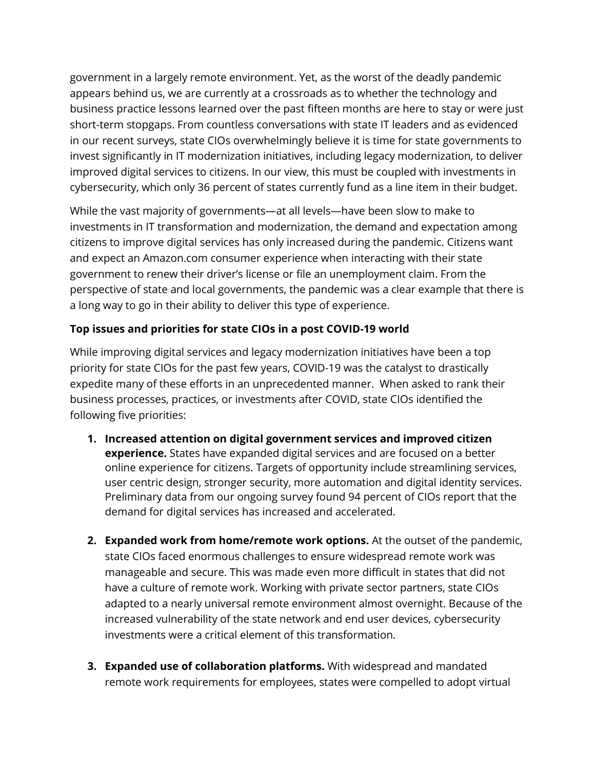government in a largely remote environment. Yet, as the worst of the deadly pandemic appears behind us, we are currently at a crossroads as to whether the technology and business practice lessons learned over the past fifteen months are here to stay or were just short-term stopgaps. From countless conversations with state IT leaders and as evidenced in our recent surveys, state CIOs overwhelmingly believe it is time for state governments to invest significantly in IT modernization initiatives, including legacy modernization, to deliver improved digital services to citizens. In our view, this must be coupled with investments in cybersecurity, which only 36 percent of states currently fund as a line item in their budget.

While the vast majority of governments—at all levels—have been slow to make to investments in IT transformation and modernization, the demand and expectation among citizens to improve digital services has only increased during the pandemic. Citizens want and expect an Amazon.com consumer experience when interacting with their state government to renew their driver's license or file an unemployment claim. From the perspective of state and local governments, the pandemic was a clear example that there is a long way to go in their ability to deliver this type of experience.

# **Top issues and priorities for state CIOs in a post COVID-19 world**

While improving digital services and legacy modernization initiatives have been a top priority for state CIOs for the past few years, COVID-19 was the catalyst to drastically expedite many of these efforts in an unprecedented manner. When asked to rank their business processes, practices, or investments after COVID, state CIOs identified the following five priorities:

- **1. Increased attention on digital government services and improved citizen experience.** States have expanded digital services and are focused on a better online experience for citizens. Targets of opportunity include streamlining services, user centric design, stronger security, more automation and digital identity services. Preliminary data from our ongoing survey found 94 percent of CIOs report that the demand for digital services has increased and accelerated.
- **2. Expanded work from home/remote work options.** At the outset of the pandemic, state CIOs faced enormous challenges to ensure widespread remote work was manageable and secure. This was made even more difficult in states that did not have a culture of remote work. Working with private sector partners, state CIOs adapted to a nearly universal remote environment almost overnight. Because of the increased vulnerability of the state network and end user devices, cybersecurity investments were a critical element of this transformation.
- **3. Expanded use of collaboration platforms.** With widespread and mandated remote work requirements for employees, states were compelled to adopt virtual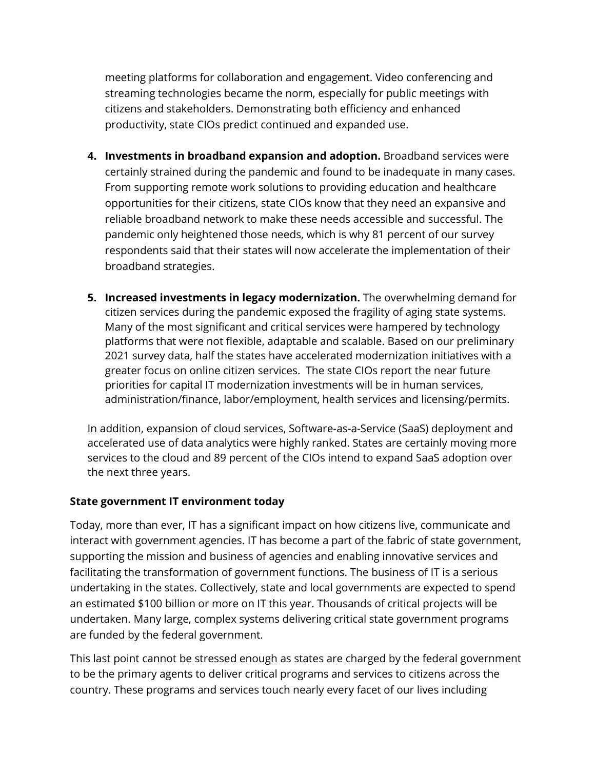meeting platforms for collaboration and engagement. Video conferencing and streaming technologies became the norm, especially for public meetings with citizens and stakeholders. Demonstrating both efficiency and enhanced productivity, state CIOs predict continued and expanded use.

- **4. Investments in broadband expansion and adoption.** Broadband services were certainly strained during the pandemic and found to be inadequate in many cases. From supporting remote work solutions to providing education and healthcare opportunities for their citizens, state CIOs know that they need an expansive and reliable broadband network to make these needs accessible and successful. The pandemic only heightened those needs, which is why 81 percent of our survey respondents said that their states will now accelerate the implementation of their broadband strategies.
- **5. Increased investments in legacy modernization.** The overwhelming demand for citizen services during the pandemic exposed the fragility of aging state systems. Many of the most significant and critical services were hampered by technology platforms that were not flexible, adaptable and scalable. Based on our preliminary 2021 survey data, half the states have accelerated modernization initiatives with a greater focus on online citizen services. The state CIOs report the near future priorities for capital IT modernization investments will be in human services, administration/finance, labor/employment, health services and licensing/permits.

In addition, expansion of cloud services, Software-as-a-Service (SaaS) deployment and accelerated use of data analytics were highly ranked. States are certainly moving more services to the cloud and 89 percent of the CIOs intend to expand SaaS adoption over the next three years.

### **State government IT environment today**

Today, more than ever, IT has a significant impact on how citizens live, communicate and interact with government agencies. IT has become a part of the fabric of state government, supporting the mission and business of agencies and enabling innovative services and facilitating the transformation of government functions. The business of IT is a serious undertaking in the states. Collectively, state and local governments are expected to spend an estimated \$100 billion or more on IT this year. Thousands of critical projects will be undertaken. Many large, complex systems delivering critical state government programs are funded by the federal government.

This last point cannot be stressed enough as states are charged by the federal government to be the primary agents to deliver critical programs and services to citizens across the country. These programs and services touch nearly every facet of our lives including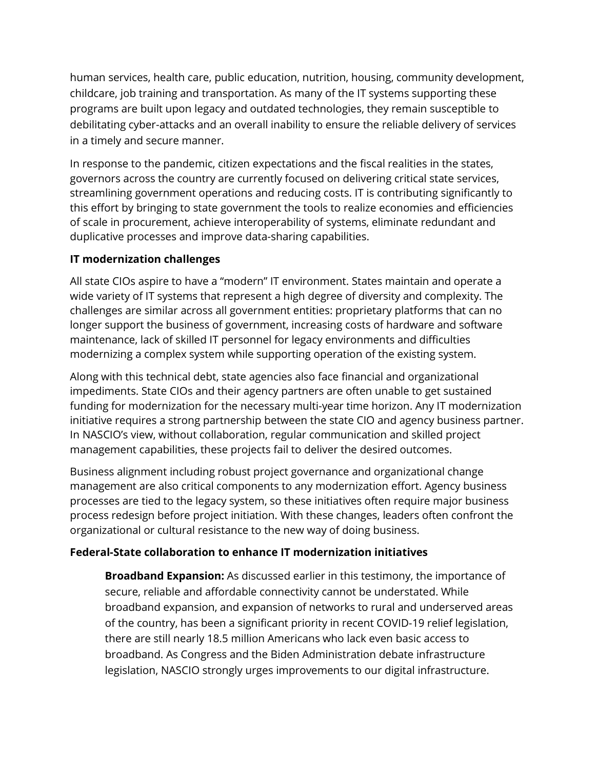human services, health care, public education, nutrition, housing, community development, childcare, job training and transportation. As many of the IT systems supporting these programs are built upon legacy and outdated technologies, they remain susceptible to debilitating cyber-attacks and an overall inability to ensure the reliable delivery of services in a timely and secure manner.

In response to the pandemic, citizen expectations and the fiscal realities in the states, governors across the country are currently focused on delivering critical state services, streamlining government operations and reducing costs. IT is contributing significantly to this effort by bringing to state government the tools to realize economies and efficiencies of scale in procurement, achieve interoperability of systems, eliminate redundant and duplicative processes and improve data-sharing capabilities.

## **IT modernization challenges**

All state CIOs aspire to have a "modern" IT environment. States maintain and operate a wide variety of IT systems that represent a high degree of diversity and complexity. The challenges are similar across all government entities: proprietary platforms that can no longer support the business of government, increasing costs of hardware and software maintenance, lack of skilled IT personnel for legacy environments and difficulties modernizing a complex system while supporting operation of the existing system.

Along with this technical debt, state agencies also face financial and organizational impediments. State CIOs and their agency partners are often unable to get sustained funding for modernization for the necessary multi-year time horizon. Any IT modernization initiative requires a strong partnership between the state CIO and agency business partner. In NASCIO's view, without collaboration, regular communication and skilled project management capabilities, these projects fail to deliver the desired outcomes.

Business alignment including robust project governance and organizational change management are also critical components to any modernization effort. Agency business processes are tied to the legacy system, so these initiatives often require major business process redesign before project initiation. With these changes, leaders often confront the organizational or cultural resistance to the new way of doing business.

## **Federal-State collaboration to enhance IT modernization initiatives**

**Broadband Expansion:** As discussed earlier in this testimony, the importance of secure, reliable and affordable connectivity cannot be understated. While broadband expansion, and expansion of networks to rural and underserved areas of the country, has been a significant priority in recent COVID-19 relief legislation, there are still nearly 18.5 million Americans who lack even basic access to broadband. As Congress and the Biden Administration debate infrastructure legislation, NASCIO strongly urges improvements to our digital infrastructure.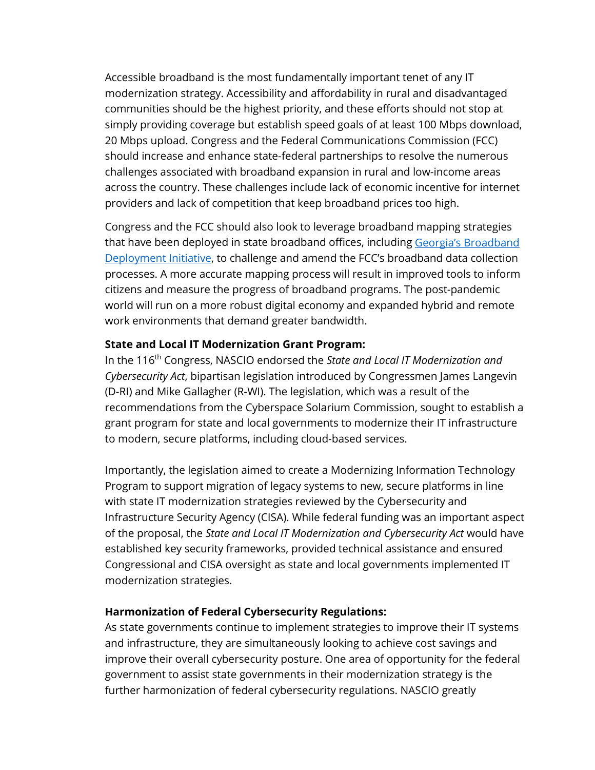Accessible broadband is the most fundamentally important tenet of any IT modernization strategy. Accessibility and affordability in rural and disadvantaged communities should be the highest priority, and these efforts should not stop at simply providing coverage but establish speed goals of at least 100 Mbps download, 20 Mbps upload. Congress and the Federal Communications Commission (FCC) should increase and enhance state-federal partnerships to resolve the numerous challenges associated with broadband expansion in rural and low-income areas across the country. These challenges include lack of economic incentive for internet providers and lack of competition that keep broadband prices too high.

Congress and the FCC should also look to leverage broadband mapping strategies that have been deployed in state broadband offices, including [Georgia's Broadband](https://broadband.georgia.gov/)  [Deployment Initiative,](https://broadband.georgia.gov/) to challenge and amend the FCC's broadband data collection processes. A more accurate mapping process will result in improved tools to inform citizens and measure the progress of broadband programs. The post-pandemic world will run on a more robust digital economy and expanded hybrid and remote work environments that demand greater bandwidth.

### **State and Local IT Modernization Grant Program:**

In the 116th Congress, NASCIO endorsed the *State and Local IT Modernization and Cybersecurity Act*, bipartisan legislation introduced by Congressmen James Langevin (D-RI) and Mike Gallagher (R-WI). The legislation, which was a result of the recommendations from the Cyberspace Solarium Commission, sought to establish a grant program for state and local governments to modernize their IT infrastructure to modern, secure platforms, including cloud-based services.

Importantly, the legislation aimed to create a Modernizing Information Technology Program to support migration of legacy systems to new, secure platforms in line with state IT modernization strategies reviewed by the Cybersecurity and Infrastructure Security Agency (CISA). While federal funding was an important aspect of the proposal, the *State and Local IT Modernization and Cybersecurity Act* would have established key security frameworks, provided technical assistance and ensured Congressional and CISA oversight as state and local governments implemented IT modernization strategies.

#### **Harmonization of Federal Cybersecurity Regulations:**

As state governments continue to implement strategies to improve their IT systems and infrastructure, they are simultaneously looking to achieve cost savings and improve their overall cybersecurity posture. One area of opportunity for the federal government to assist state governments in their modernization strategy is the further harmonization of federal cybersecurity regulations. NASCIO greatly